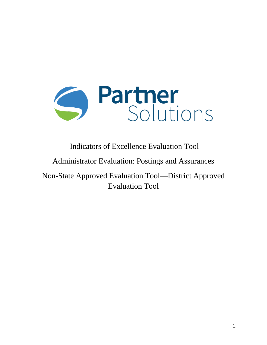

Indicators of Excellence Evaluation Tool

Administrator Evaluation: Postings and Assurances

Non-State Approved Evaluation Tool—District Approved Evaluation Tool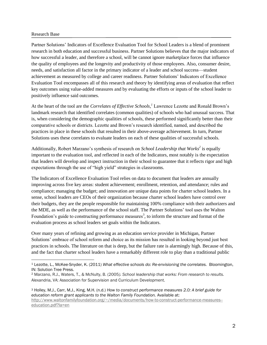#### Research Base

 $\overline{a}$ 

Partner Solutions' Indicators of Excellence Evaluation Tool for School Leaders is a blend of prominent research in both education and successful business. Partner Solutions believes that the major indicators of how successful a leader, and therefore a school, will be cannot ignore marketplace forces that influence the quality of employees and the longevity and productivity of those employees. Also, consumer desire, needs, and satisfaction all factor in the primary indicator of a leader and school success—student achievement as measured by college and career readiness. Partner Solutions' Indicators of Excellence Evaluation Tool encompasses all of this research and theory by identifying areas of evaluation that reflect key outcomes using value-added measures and by evaluating the efforts or inputs of the school leader to positively influence said outcomes.

At the heart of the tool are the *Correlates of Effective Schools, <sup>1</sup>* Lawrence Lezotte and Ronald Brown's landmark research that identified correlates (common qualities) of schools who had unusual success. That is, when considering the demographic qualities of schools, these performed significantly better than their comparative schools or districts. Lezotte and Brown's research identified, named, and described the practices in place in these schools that resulted in their above-average achievement. In turn, Partner Solutions uses these correlates to evaluate leaders on each of these qualities of successful schools.

Additionally, Robert Marzano's synthesis of research on *School Leadership that Works<sup>2</sup>* is equally important to the evaluation tool, and reflected in each of the Indicators, most notably is the expectation that leaders will develop and inspect instruction in their school to guarantee that it reflects rigor and high expectations through the use of "high yield" strategies in classrooms.

The Indicators of Excellence Evaluation Tool relies on data to document that leaders are annually improving across five key areas: student achievement; enrollment, retention, and attendance; rules and compliance; managing the budget; and innovation are unique data points for charter school leaders. In a sense, school leaders are CEOs of their organization because charter school leaders have control over their budgets, they are the people responsible for maintaining 100% compliance with their authorizers and the MDE, as well as the performance of the school staff. The Partner Solutions' tool uses the Walton Foundation's guide to constructing performance measures<sup>3</sup>, to inform the structure and format of the evaluation process as school leaders set goals within the Indicators.

Over many years of refining and growing as an education service provider in Michigan, Partner Solutions' embrace of school reform and choice as its mission has resulted in looking beyond just best practices in schools. The literature on that is deep, but the failure rate is alarmingly high. Because of this, and the fact that charter school leaders have a remarkably different role to play than a traditional public

<sup>3</sup> Holley, M.J., Carr, M.J., King, M.H. (n.d.) *How to construct performance measures 2.0: A brief guide for*  education reform grant applicants to the Walton Family Foundation. Available at: [http://www.waltonfamilyfoundation.org/~/media/documents/how-to-construct-performance-measures-](http://www.waltonfamilyfoundation.org/~/media/documents/how-to-construct-performance-measures--education.pdf?la=en) [education.pdf?la=en](http://www.waltonfamilyfoundation.org/~/media/documents/how-to-construct-performance-measures--education.pdf?la=en)

<sup>1</sup> Lezotte, L., McKee-Snyder, K. (2011) *What effective schools do: Re-envisioning the correlates.* Bloomington, IN: Solution Tree Press.

<sup>2</sup> Marzano, R.J., Waters, T., & McNulty, B. (2005*). School leadership that works: From research to results.*  Alexandria, VA: Association for Supervision and Curriculum Development.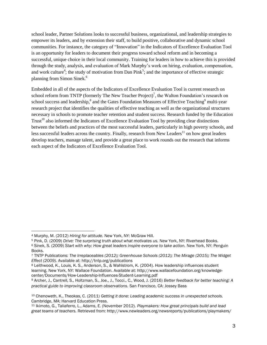school leader, Partner Solutions looks to successful business, organizational, and leadership strategies to empower its leaders, and by extension their staff, to build positive, collaborative and dynamic school communities. For instance, the category of "Innovation" in the Indicators of Excellence Evaluation Tool is an opportunity for leaders to document their progress toward school reform and in becoming a successful, unique choice in their local community. Training for leaders in how to achieve this is provided through the study, analysis, and evaluation of Mark Murphy's work on hiring, evaluation, compensation, and work culture<sup>4</sup>; the study of motivation from Dan Pink<sup>5</sup>; and the importance of effective strategic planning from Simon Sinek.<sup>6</sup>

Embedded in all of the aspects of the Indicators of Excellence Evaluation Tool is current research on school reform from TNTP (formerly The New Teacher Project)<sup>7</sup>, the Walton Foundation's research on school success and leadership,<sup>8</sup> and the Gates Foundation Measures of Effective Teaching<sup>9</sup> multi-year research project that identifies the qualities of effective teaching as well as the organizational structures necessary in schools to promote teacher retention and student success. Research funded by the Education Trust<sup>10</sup> also informed the Indicators of Excellence Evaluation Tool by providing clear distinctions between the beliefs and practices of the most successful leaders, particularly in high poverty schools, and less successful leaders across the country. Finally, research from New Leaders<sup>11</sup> on how great leaders develop teachers, manage talent, and provide a great place to work rounds out the research that informs each aspect of the Indicators of Excellence Evaluation Tool.

<sup>5</sup> Pink, D. (2009) *Drive: The surprising truth about what motivates us.* New York, NY: Riverhead Books.

<sup>4</sup> Murphy, M. (2012) *Hiring for attitude.* New York, NY: McGraw Hill.

<sup>6</sup> Sinek, S. (2009) *Start with why: How great leaders inspire everyone to take action.* New York, NY: Penguin Books.

<sup>7</sup> TNTP Publications: *The Irreplaceables (2012); Greenhouse Schools (2012); The Mirage (2015); The Widget Effect (2009).* Available at: http://tntp.org/publications

<sup>8</sup> Leithwood, K., Louis, K. S., Anderson, S., & Wahlstrom, K. (2004). How leadership influences student learning. New York, NY: Wallace Foundation. Available at: http://www.wallacefoundation.org/knowledgecenter/Documents/How-Leadership-Influences-Student-Learning.pdf

<sup>9</sup> Archer, J., Cantrell, S., Holtzman, S., Joe., J., Tocci., C., Wood, J. (2016) *Better feedback for better teaching: A practical guide to improving classroom observations.* San Francisco, CA: Jossey Bass

<sup>10</sup> Chenoweth, K., Theokas, C. (2011) *Getting it done: Leading academic success in unexpected schools.*  Cambridge, MA: Harvard Education Press.

<sup>11</sup> Ikimoto, G., Taliaferro, L., Adams, E. (November 2012). *Playmakers: How great principals build and lead great teams of teachers.* Retrieved from: http://www.newleaders.org/newsreports/publications/playmakers/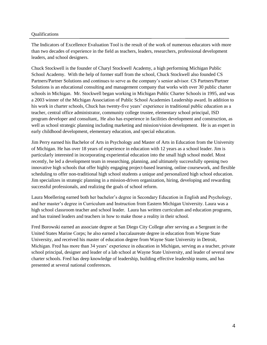#### Qualifications

The Indicators of Excellence Evaluation Tool is the result of the work of numerous educators with more than two decades of experience in the field as teachers, leaders, researchers, professional development leaders, and school designers.

Chuck Stockwell is the founder of Charyl Stockwell Academy, a high performing Michigan Public School Academy. With the help of former staff from the school, Chuck Stockwell also founded CS Partners/Partner Solutions and continues to serve as the company's senior advisor. CS Partners/Partner Solutions is an educational consulting and management company that works with over 30 public charter schools in Michigan. Mr. Stockwell began working in Michigan Public Charter Schools in 1995, and was a 2003 winner of the Michigan Association of Public School Academies Leadership award. In addition to his work in charter schools, Chuck has twenty-five years' experience in traditional public education as a teacher, central office administrator, community college trustee, elementary school principal, ISD program developer and consultant,. He also has experience in facilities development and construction, as well as school strategic planning including marketing and mission/vision development. He is an expert in early childhood development, elementary education, and special education.

Jim Perry earned his Bachelor of Arts in Psychology and Master of Arts in Education from the University of Michigan. He has over 18 years of experience in education with 12 years as a school leader. Jim is particularly interested in incorporating experiential education into the small high school model. Most recently, he led a development team in researching, planning, and ultimately successfully opening two innovative high schools that offer highly engaging project-based learning, online coursework, and flexible scheduling to offer non-traditional high school students a unique and personalized high school education. Jim specializes in strategic planning in a mission-driven organization, hiring, developing and rewarding successful professionals, and realizing the goals of school reform.

Laura Moellering earned both her bachelor's degree in Secondary Education in English and Psychology, and her master's degree in Curriculum and Instruction from Eastern Michigan University. Laura was a high school classroom teacher and school leader. Laura has written curriculum and education programs, and has trained leaders and teachers in how to make those a reality in their school.

Fred Borowski earned an associate degree at San Diego City College after serving as a Sergeant in the United States Marine Corps; he also earned a baccalaureate degree in education from Wayne State University, and received his master of education degree from Wayne State University in Detroit, Michigan. Fred has more than 34 years' experience in education in Michigan, serving as a teacher, private school principal, designer and leader of a lab school at Wayne State University, and leader of several new charter schools. Fred has deep knowledge of leadership, building effective leadership teams, and has presented at several national conferences.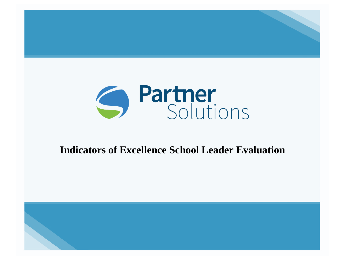

# **Indicators of Excellence School Leader Evaluation**

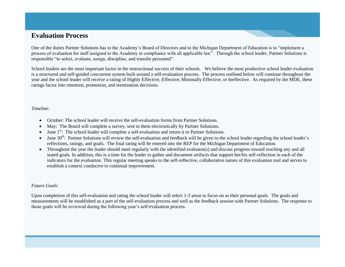### **Evaluation Process**

One of the duties Partner Solutions has to the Academy's Board of Directors and to the Michigan Department of Education is to "implement a process of evaluation for staff assigned to the Academy in compliance with all applicable law". Through the school leader, Partner Solutions is responsible "to select, evaluate, assign, discipline, and transfer personnel".

School leaders are the most important factor in the instructional success of their schools. We believe the most productive school leader evaluation is a structured and self-guided concurrent system built around a self-evaluation process. The process outlined below will continue throughout the year and the school leader will receive a rating of Highly Effective, Effective, Minimally Effective, or Ineffective. As required by the MDE, these ratings factor into retention, promotion, and termination decisions.

#### *Timeline*:

- October: The school leader will receive the self-evaluation forms from Partner Solutions.
- May: The Board will complete a survey, sent to them electronically by Partner Solutions.
- $\bullet$  June 1<sup>st</sup>: The school leader will complete a self-evaluation and return it to Partner Solutions.
- $\bullet$  June 30<sup>th</sup>: Partner Solutions will review the self-evaluation and feedback will be given to the school leader regarding the school leader's reflections, ratings, and goals. The final rating will be entered into the REP for the Michigan Department of Education.
- Throughout the year the leader should meet regularly with the identified evaluator(s) and discuss progress toward reaching any and all stated goals. In addition, this is a time for the leader to gather and document artifacts that support her/his self-reflection in each of the indicators for the evaluation. This regular meeting speaks to the self-reflective, collaborative nature of this evaluation tool and serves to establish a context conducive to continual improvement.

#### *Future Goals*:

Upon completion of this self-evaluation and rating the school leader will select 1-3 areas to focus on as their personal goals. The goals and measurements will be established as a part of the self-evaluation process and well as the feedback session with Partner Solutions. The response to those goals will be reviewed during the following year's self-evaluation process.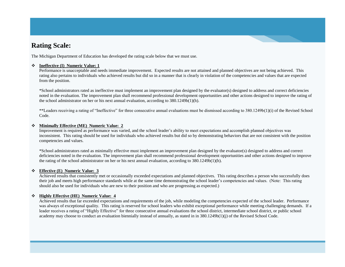### **Rating Scale:**

The Michigan Department of Education has developed the rating scale below that we must use.

#### **Ineffective (I) Numeric Value: 1**

Performance is unacceptable and needs immediate improvement. Expected results are not attained and planned objectives are not being achieved. This rating also pertains to individuals who achieved results but did so in a manner that is clearly in violation of the competencies and values that are expected from the position.

\*School administrators rated as ineffective must implement an improvement plan designed by the evaluator(s) designed to address and correct deficiencies noted in the evaluation. The improvement plan shall recommend professional development opportunities and other actions designed to improve the rating of the school administrator on her or his next annual evaluation, according to 380.1249b(1)(h).

\*\*Leaders receiving a rating of "Ineffective" for three consecutive annual evaluations must be dismissed according to 380.1249b(1)(i) of the Revised School Code.

#### **Minimally Effective (ME) Numeric Value: 2**

Improvement is required as performance was varied, and the school leader's ability to meet expectations and accomplish planned objectives was inconsistent. This rating should be used for individuals who achieved results but did so by demonstrating behaviors that are not consistent with the position competencies and values.

\*School administrators rated as minimally effective must implement an improvement plan designed by the evaluator(s) designed to address and correct deficiencies noted in the evaluation. The improvement plan shall recommend professional development opportunities and other actions designed to improve the rating of the school administrator on her or his next annual evaluation, according to 380.1249b(1)(h).

#### **Effective (E) Numeric Value: 3**

Achieved results that consistently met or occasionally exceeded expectations and planned objectives. This rating describes a person who successfully does their job and meets high performance standards while at the same time demonstrating the school leader's competencies and values. (Note: This rating should also be used for individuals who are new to their position and who are progressing as expected.)

#### **Highly Effective (HE) Numeric Value: 4**

Achieved results that far exceeded expectations and requirements of the job, while modeling the competencies expected of the school leader. Performance was always of exceptional quality. This rating is reserved for school leaders who exhibit exceptional performance while meeting challenging demands. If a leader receives a rating of "Highly Effective" for three consecutive annual evaluations the school district, intermediate school district, or public school academy may choose to conduct an evaluation biennially instead of annually, as stated in in 380.1249b(1)(j) of the Revised School Code.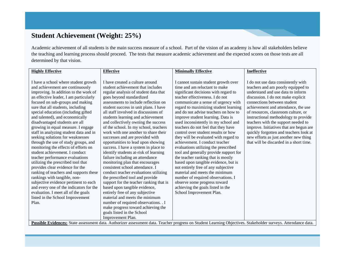# **Student Achievement (Weight: 25%)**

Academic achievement of all students is the main success measure of a school. Part of the vision of an academy is how all stakeholders believe the teaching and learning process should proceed. The tests that measure academic achievement and the expected scores on those tests are all determined by that vision.

| <b>Highly Effective</b>                 | <b>Effective</b>                        | <b>Minimally Effective</b>                                                                                                                                    | <b>Ineffective</b>                      |
|-----------------------------------------|-----------------------------------------|---------------------------------------------------------------------------------------------------------------------------------------------------------------|-----------------------------------------|
|                                         |                                         |                                                                                                                                                               |                                         |
| I have a school where student growth    | I have created a culture around         | I cannot sustain student growth over                                                                                                                          | I do not use data consistently with     |
| and achievement are continuously        | student achievement that includes       | time and am reluctant to make                                                                                                                                 | teachers and am poorly equipped to      |
| improving. In addition to the work of   | regular analysis of student data that   | significant decisions with regard to                                                                                                                          | understand and use data to inform       |
| an effective leader, I am particularly  | goes beyond standardized                | teacher effectiveness. I do not                                                                                                                               | discussion. I do not make explicit      |
| focused on sub-groups and making        | assessments to include reflection on    | communicate a sense of urgency with                                                                                                                           | connections between student             |
| sure that all students, including       | student success in unit plans. I have   | regard to maximizing student learning                                                                                                                         | achievement and attendance, the use     |
| special education (including gifted     | all staff involved in discussions of    | and do not advise teachers on how to                                                                                                                          | of resources, classroom culture, or     |
| and talented), and economically         | students learning and achievement       | improve student learning. Data is                                                                                                                             | instructional methodology to provide    |
| disadvantaged students are all          | and collectively owning the success     | used inconsistently in my school and                                                                                                                          | teachers with the support needed to     |
| growing in equal measure. I engage      | of the school. In my school, teachers   | teachers do not feel that they have                                                                                                                           | improve. Initiatives that are begun are |
| staff in analyzing student data and in  | work with one another to share their    | control over student results or how                                                                                                                           | quickly forgotten and teachers look at  |
| seeking solutions for weaknesses        | successes and are provided with         | they will be evaluated with regard to                                                                                                                         | new efforts as just another new thing   |
| through the use of study groups, and    | opportunities to lead upon showing      | achievement. I conduct teacher                                                                                                                                | that will be discarded in a short time. |
| monitoring the effects of efforts on    | success. I have a system in place to    | evaluations utilizing the prescribed                                                                                                                          |                                         |
| student achievement. I conduct          | identify students at-risk of learning   | tool and generally provide support for                                                                                                                        |                                         |
| teacher performance evaluations         | failure including an attendance         | the teacher ranking that is mostly                                                                                                                            |                                         |
| utilizing the prescribed tool that      | monitoring plan that encourages         | based upon tangible evidence, but is                                                                                                                          |                                         |
| provides clear evidence for the         | consistent school attendance. I         | not entirely free of any subjective                                                                                                                           |                                         |
| ranking of teachers and supports these  | conduct teacher evaluations utilizing   | material and meets the minimum                                                                                                                                |                                         |
| rankings with tangible, non-            | the prescribed tool and provide         | number of required observations. I                                                                                                                            |                                         |
| subjective evidence pertinent to each   | support for the teacher ranking that is | observe some progress toward                                                                                                                                  |                                         |
| and every one of the indicators for the | based upon tangible evidence,           | achieving the goals listed in the                                                                                                                             |                                         |
| evaluation. I meet all of the goals     | entirely free of any subjective         | School Improvement Plan.                                                                                                                                      |                                         |
| listed in the School Improvement        | material and meets the minimum          |                                                                                                                                                               |                                         |
| Plan.                                   | number of required observations. . I    |                                                                                                                                                               |                                         |
|                                         | make progress toward achieving the      |                                                                                                                                                               |                                         |
|                                         | goals listed in the School              |                                                                                                                                                               |                                         |
|                                         | Improvement Plan.                       |                                                                                                                                                               |                                         |
|                                         |                                         | Possible Evidences: State assessment data. Authorizer assessment data. Teacher progress on Student Learning Objectives. Stakeholder surveys. Attendance data. |                                         |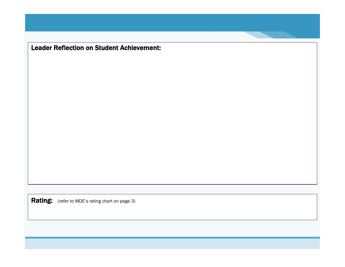Leader Reflection on Student Achievement: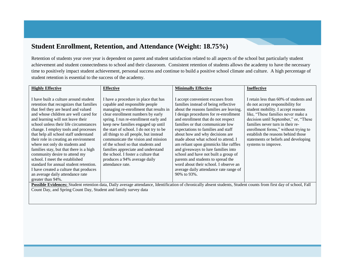### **Student Enrollment, Retention, and Attendance (Weight: 18.75%)**

Retention of students year over year is dependent on parent and student satisfaction related to all aspects of the school but particularly student achievement and student connectedness to school and their classroom. Consistent retention of students allows the academy to have the necessary time to positively impact student achievement, personal success and continue to build a positive school climate and culture. A high percentage of student retention is essential to the success of the academy.

| <b>Highly Effective</b>                 | <b>Effective</b>                        | <b>Minimally Effective</b>              | <b>Ineffective</b>                     |
|-----------------------------------------|-----------------------------------------|-----------------------------------------|----------------------------------------|
|                                         |                                         |                                         |                                        |
| I have built a culture around student   | I have a procedure in place that has    | I accept convenient excuses from        | I retain less than 60% of students and |
| retention that recognizes that families | capable and responsible people          | families instead of being reflective    | do not accept responsibility for       |
| that feel they are heard and valued     | managing re-enrollment that results in  | about the reasons families are leaving. | student mobility. I accept reasons     |
| and whose children are well cared for   | clear enrollment numbers by early       | I design procedures for re-enrollment   | like, "These families never make a     |
| and learning will not leave their       | spring. I run re-enrollment early and   | and enrollment that do not respect      | decision until September," or, "These  |
| school unless their life circumstances  | keep new families engaged up until      | families or that communicate low        | families never turn in their re-       |
| change. I employ tools and processes    | the start of school. I do not try to be | expectations to families and staff      | enrollment forms," without trying to   |
| that help all school staff understand   | all things to all people, but instead   | about how and why decisions are         | establish the reasons behind those     |
| their role in creating an environment   | communicate the vision and mission      | made about what school to attend. I     | statements or beliefs and developing   |
| where not only do students and          | of the school so that students and      | am reliant upon gimmicks like raffles   | systems to improve.                    |
| families stay, but that there is a high | families appreciate and understand      | and give aways to lure families into    |                                        |
| community desire to attend my           | the school. I foster a culture that     | school and have not built a group of    |                                        |
| school. I meet the established          | produces a 94% average daily            | parents and students to spread the      |                                        |
| standard for annual student retention.  | attendance rate.                        | word about their school. I observe an   |                                        |
| I have created a culture that produces  |                                         | average daily attendance rate range of  |                                        |
| an average daily attendance rate        |                                         | 90% to 93%.                             |                                        |
| greater than 94%.                       |                                         |                                         |                                        |

Possible Evidences: Student retention data, Daily average attendance, Identification of chronically absent students, Student counts from first day of school, Fall Count Day, and Spring Count Day, Student and family survey data

10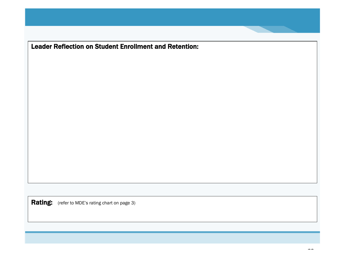Leader Reflection on Student Enrollment and Retention: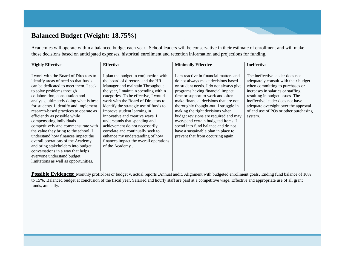### **Balanced Budget (Weight: 18.75%)**

Academies will operate within a balanced budget each year. School leaders will be conservative in their estimate of enrollment and will make those decisions based on anticipated expenses, historical enrollment and retention information and projections for funding.

| <b>Highly Effective</b>                                                                                                                                                                                                                                                                                                                                                                                                                                                                                                                                                                                                                                                                         | <b>Effective</b>                                                                                                                                                                                                                                                                                                                                                                                                                                                                                                                                         | <b>Minimally Effective</b>                                                                                                                                                                                                                                                                                                                                                                                                                                                                                              | Ineffective                                                                                                                                                                                                                                                                                                        |
|-------------------------------------------------------------------------------------------------------------------------------------------------------------------------------------------------------------------------------------------------------------------------------------------------------------------------------------------------------------------------------------------------------------------------------------------------------------------------------------------------------------------------------------------------------------------------------------------------------------------------------------------------------------------------------------------------|----------------------------------------------------------------------------------------------------------------------------------------------------------------------------------------------------------------------------------------------------------------------------------------------------------------------------------------------------------------------------------------------------------------------------------------------------------------------------------------------------------------------------------------------------------|-------------------------------------------------------------------------------------------------------------------------------------------------------------------------------------------------------------------------------------------------------------------------------------------------------------------------------------------------------------------------------------------------------------------------------------------------------------------------------------------------------------------------|--------------------------------------------------------------------------------------------------------------------------------------------------------------------------------------------------------------------------------------------------------------------------------------------------------------------|
| I work with the Board of Directors to<br>identify areas of need so that funds<br>can be dedicated to meet them. I seek<br>to solve problems through<br>collaboration, consultation and<br>analysis, ultimately doing what is best<br>for students. I identify and implement<br>research-based practices to operate as<br>efficiently as possible while<br>compensating individuals<br>competitively and commensurate with<br>the value they bring to the school. I<br>understand how finances impact the<br>overall operations of the Academy<br>and bring stakeholders into budget<br>conversations in a way that helps<br>everyone understand budget<br>limitations as well as opportunities. | I plan the budget in conjunction with<br>the board of directors and the HR<br>Manager and maintain Throughout<br>the year, I maintain spending within<br>categories. To be effective, I would<br>work with the Board of Directors to<br>identify the strategic use of funds to<br>improve student learning in<br>innovative and creative ways. I<br>understands that spending and<br>achievement do not necessarily<br>correlate and continually seek to<br>enhance my understanding of how<br>finances impact the overall operations<br>of the Academy. | I am reactive in financial matters and<br>do not always make decisions based<br>on student needs. I do not always give<br>programs having financial impact<br>time or support to work and often<br>make financial decisions that are not<br>thoroughly thought-out. I struggle in<br>making the right decisions when<br>budget revisions are required and may<br>overspend certain budgeted items. I<br>spend into fund balance and do not<br>have a sustainable plan in place to<br>prevent that from occurring again. | The ineffective leader does not<br>adequately consult with their budget<br>when committing to purchases or<br>increases in salaries or staffing<br>resulting in budget issues. The<br>ineffective leader does not have<br>adequate oversight over the approval<br>of and use of POs or other purchasing<br>system. |

**Possible Evidences:** Monthly profit-loss or budget v. actual reports ,Annual audit, Alignment with budgeted enrollment goals, Ending fund balance of 10% to 15%, Balanced budget at conclusion of the fiscal year, Salaried and hourly staff are paid at a competitive wage. Effective and appropriate use of all grant funds, annually.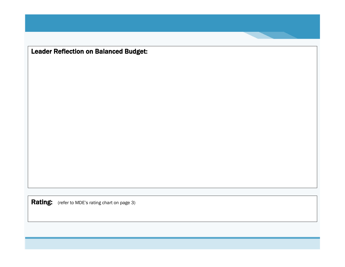Leader Reflection on Balanced Budget: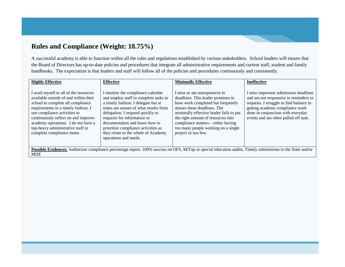# **Rules and Compliance (Weight: 18.75%)**

A successful academy is able to function within all the rules and regulations established by various stakeholders. School leaders will ensure that the Board of Directors has up-to-date policies and procedures that integrate all administrative requirements and current staff, student and family handbooks. The expectation is that leaders and staff will follow all of the policies and procedures continuously and consistently.

| <b>Highly Effective</b>                                                                                                                                                                                                                                                                                                                      | <b>Effective</b>                                                                                                                                                                                                                                                                                                                                                     | <b>Minimally Effective</b>                                                                                                                                                                                                                                                                                                 | <b>Ineffective</b>                                                                                                                                                                                                                        |
|----------------------------------------------------------------------------------------------------------------------------------------------------------------------------------------------------------------------------------------------------------------------------------------------------------------------------------------------|----------------------------------------------------------------------------------------------------------------------------------------------------------------------------------------------------------------------------------------------------------------------------------------------------------------------------------------------------------------------|----------------------------------------------------------------------------------------------------------------------------------------------------------------------------------------------------------------------------------------------------------------------------------------------------------------------------|-------------------------------------------------------------------------------------------------------------------------------------------------------------------------------------------------------------------------------------------|
| I avail myself to all of the resources<br>available outside of and within their<br>school to complete all compliance<br>requirements in a timely fashion. I<br>use compliance activities to<br>continuously reflect on and improve<br>academy operations. I do not have a<br>top-heavy administrative staff to<br>complete compliance items. | I monitor the compliance calendar<br>and employ staff to complete tasks in<br>a timely fashion. I delegate but at<br>times am unsure of what results from<br>delegation. I respond quickly to<br>requests for information or<br>documentation and know how to<br>prioritize compliance activities as<br>they relate to the whole of Academy<br>operations and needs. | I miss or am unresponsive to<br>deadlines. This leader promises to<br>have work completed but frequently<br>misses these deadlines. The<br>minimally effective leader fails to put<br>the right amount of resources into<br>compliance matters—either having<br>too many people working on a single<br>project or too few. | I miss important submission deadlines<br>and am not responsive to reminders or<br>requests. I struggle to find balance in<br>getting academy compliance work<br>done in conjunction with everyday<br>events and am often pulled off task. |
| Possible Evidences: Authorizer compliance percentage report. 100% success on OFS, MiTap or special education audits, Timely submissions to the State and/or<br><b>MDE</b>                                                                                                                                                                    |                                                                                                                                                                                                                                                                                                                                                                      |                                                                                                                                                                                                                                                                                                                            |                                                                                                                                                                                                                                           |
|                                                                                                                                                                                                                                                                                                                                              |                                                                                                                                                                                                                                                                                                                                                                      |                                                                                                                                                                                                                                                                                                                            |                                                                                                                                                                                                                                           |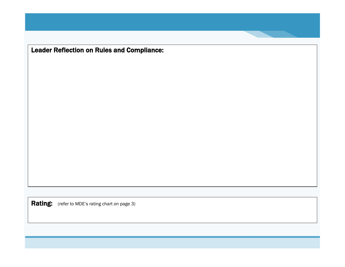Leader Reflection on Rules and Compliance: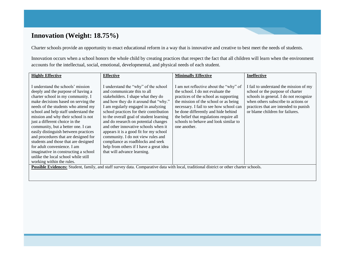# **Innovation (Weight: 18.75%)**

Charter schools provide an opportunity to enact educational reform in a way that is innovative and creative to best meet the needs of students.

Innovation occurs when a school honors the whole child by creating practices that respect the fact that all children will learn when the environment accounts for the intellectual, social, emotional, developmental, and physical needs of each student.

| <b>Highly Effective</b>                                                                                                                                                                                                                                                                                                                                                                                                                                                                                                                                                                                              | <b>Effective</b>                                                                                                                                                                                                                                                                                                                                                                                                                                                                                                                                             | <b>Minimally Effective</b>                                                                                                                                                                                                                                                                                                                          | <b>Ineffective</b>                                                                                                                                                                                                                      |
|----------------------------------------------------------------------------------------------------------------------------------------------------------------------------------------------------------------------------------------------------------------------------------------------------------------------------------------------------------------------------------------------------------------------------------------------------------------------------------------------------------------------------------------------------------------------------------------------------------------------|--------------------------------------------------------------------------------------------------------------------------------------------------------------------------------------------------------------------------------------------------------------------------------------------------------------------------------------------------------------------------------------------------------------------------------------------------------------------------------------------------------------------------------------------------------------|-----------------------------------------------------------------------------------------------------------------------------------------------------------------------------------------------------------------------------------------------------------------------------------------------------------------------------------------------------|-----------------------------------------------------------------------------------------------------------------------------------------------------------------------------------------------------------------------------------------|
| I understand the schools' mission<br>deeply and the purpose of having a<br>charter school in my community. I<br>make decisions based on serving the<br>needs of the students who attend my<br>school and help staff understand the<br>mission and why their school is not<br>just a different choice in the<br>community, but a better one. I can<br>easily distinguish between practices<br>and procedures that are designed for<br>students and those that are designed<br>for adult convenience. I am<br>imaginative in constructing a school<br>unlike the local school while still<br>working within the rules. | understand the "why" of the school<br>and communicate this to all<br>stakeholders. I shape what they do<br>and how they do it around that "why."<br>I am regularly engaged in analyzing<br>school practices for their contribution<br>to the overall goal of student learning<br>and do research on potential changes<br>and other innovative schools when it<br>appears it is a good fit for my school<br>community. I do not view rules and<br>compliance as roadblocks and seek<br>help from others if I have a great idea<br>that will advance learning. | I am not reflective about the "why" of<br>the school. I do not evaluate the<br>practices of the school as supporting<br>the mission of the school or as being<br>necessary. I fail to see how school can<br>be done differently and hide behind<br>the belief that regulations require all<br>schools to behave and look similar to<br>one another. | I fail to understand the mission of my<br>school or the purpose of charter<br>schools in general. I do not recognize<br>when others subscribe to actions or<br>practices that are intended to punish<br>or blame children for failures. |
| Possible Evidences: Student, family, and staff survey data. Comparative data with local, traditional district or other charter schools.                                                                                                                                                                                                                                                                                                                                                                                                                                                                              |                                                                                                                                                                                                                                                                                                                                                                                                                                                                                                                                                              |                                                                                                                                                                                                                                                                                                                                                     |                                                                                                                                                                                                                                         |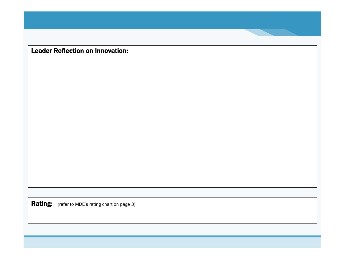Leader Reflection on Innovation: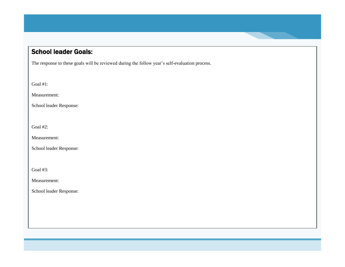# School leader Goals:

The response to these goals will be reviewed during the follow year's self-evaluation process.

Goal #1:

Measurement:

School leader Response:

Goal #2:

Measurement:

School leader Response:

Goal #3:

Measurement:

School leader Response: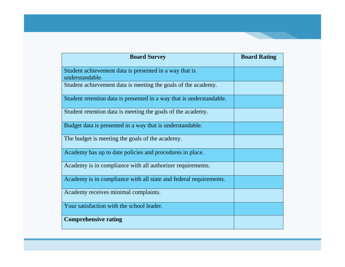| <b>Board Survey</b>                                                       | <b>Board Rating</b> |
|---------------------------------------------------------------------------|---------------------|
| Student achievement data is presented in a way that is<br>understandable. |                     |
| Student achievement data is meeting the goals of the academy.             |                     |
| Student retention data is presented in a way that is understandable.      |                     |
| Student retention data is meeting the goals of the academy.               |                     |
| Budget data is presented in a way that is understandable.                 |                     |
| The budget is meeting the goals of the academy.                           |                     |
| Academy has up to date policies and procedures in place.                  |                     |
| Academy is in compliance with all authorizer requirements.                |                     |
| Academy is in compliance with all state and federal requirements.         |                     |
| Academy receives minimal complaints.                                      |                     |
| Your satisfaction with the school leader.                                 |                     |
| <b>Comprehensive rating</b>                                               |                     |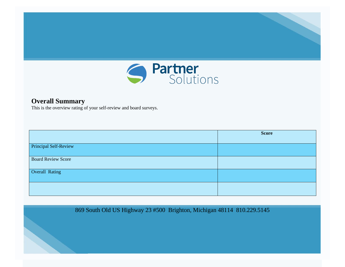

### **Overall Summary**

This is the overview rating of your self-review and board surveys.

|                              | <b>Score</b> |
|------------------------------|--------------|
| <b>Principal Self-Review</b> |              |
| <b>Board Review Score</b>    |              |
| Overall Rating               |              |
|                              |              |
|                              |              |

869 South Old US Highway 23 #500 Brighton, Michigan 48114 810.229.5145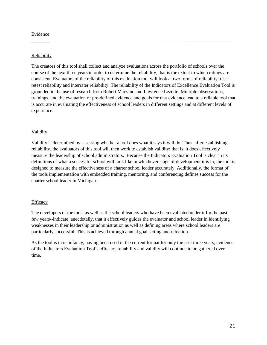### **Reliability**

The creators of this tool shall collect and analyze evaluations across the portfolio of schools over the course of the next three years in order to determine the reliability, that is the extent to which ratings are consistent. Evaluators of the reliability of this evaluation tool will look at two forms of reliability: testretest reliability and interrater reliability. The reliability of the Indicators of Excellence Evaluation Tool is grounded in the use of research from Robert Marzano and Lawrence Lezotte. Multiple observations, trainings, and the evaluation of pre-defined evidence and goals for that evidence lead to a reliable tool that is accurate in evaluating the effectiveness of school leaders in different settings and at different levels of experience.

### Validity

Validity is determined by assessing whether a tool does what it says it will do. Thus, after establishing reliability, the evaluators of this tool will then work to establish validity: that is, it does effectively measure the leadership of school administrators. Because the Indicators Evaluation Tool is clear in its definitions of what a successful school will look like in whichever stage of development it is in, the tool is designed to measure the effectiveness of a charter school leader accurately. Additionally, the format of the tools implementation with embedded training, mentoring, and conferencing defines success for the charter school leader in Michigan.

### **Efficacy**

The developers of the tool--as well as the school leaders who have been evaluated under it for the past few years--indicate, anecdotally, that it effectively guides the evaluator and school leader in identifying weaknesses in their leadership or administration as well as defining areas where school leaders are particularly successful. This is achieved through annual goal setting and refection.

As the tool is in its infancy, having been used in the current format for only the past three years, evidence of the Indicators Evaluation Tool's efficacy, reliability and validity will continue to be gathered over time.